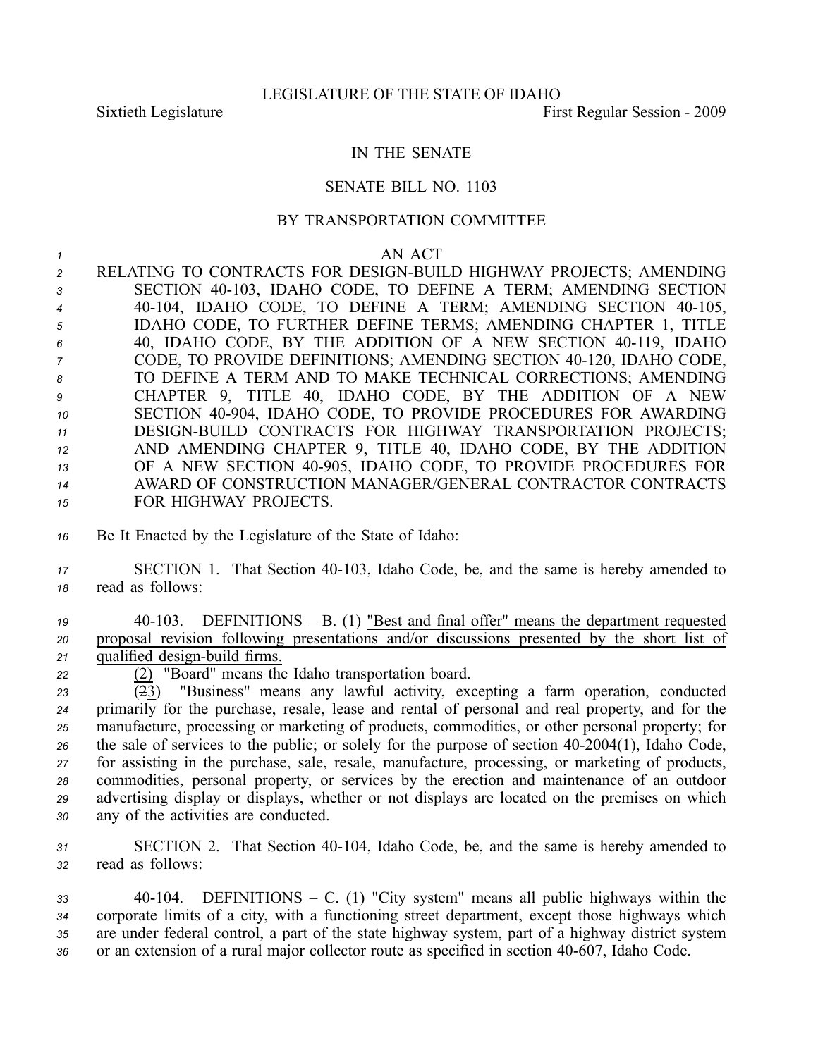## IN THE SENATE

## SENATE BILL NO. 1103

## BY TRANSPORTATION COMMITTEE

## *<sup>1</sup>* AN ACT

**2 RELATING TO CONTRACTS FOR DESIGN-BUILD HIGHWAY PROJECTS; AMENDING**  SECTION 40103, IDAHO CODE, TO DEFINE A TERM; AMENDING SECTION 4 40-104, IDAHO CODE, TO DEFINE A TERM; AMENDING SECTION 40-105, IDAHO CODE, TO FURTHER DEFINE TERMS; AMENDING CHAPTER 1, TITLE 40, IDAHO CODE, BY THE ADDITION OF A NEW SECTION 40119, IDAHO <sup>7</sup> CODE, TO PROVIDE DEFINITIONS; AMENDING SECTION 40-120, IDAHO CODE, TO DEFINE A TERM AND TO MAKE TECHNICAL CORRECTIONS; AMENDING CHAPTER 9, TITLE 40, IDAHO CODE, BY THE ADDITION OF A NEW SECTION 40904, IDAHO CODE, TO PROVIDE PROCEDURES FOR AWARDING 11 DESIGN-BUILD CONTRACTS FOR HIGHWAY TRANSPORTATION PROJECTS; AND AMENDING CHAPTER 9, TITLE 40, IDAHO CODE, BY THE ADDITION 13 OF A NEW SECTION 40-905, IDAHO CODE, TO PROVIDE PROCEDURES FOR AWARD OF CONSTRUCTION MANAGER/GENERAL CONTRACTOR CONTRACTS FOR HIGHWAY PROJECTS.

- *<sup>16</sup>* Be It Enacted by the Legislature of the State of Idaho:
- 17 **SECTION 1.** That Section 40-103, Idaho Code, be, and the same is hereby amended to *<sup>18</sup>* read as follows:
- *<sup>19</sup>* 40103. DEFINITIONS B. (1) "Best and final offer" means the department requested *<sup>20</sup>* proposal revision following presentations and/or discussions presented by the short list of 21 qualified design-build firms.
- 

<sup>22</sup> <sup>(2)</sup> "Board" means the Idaho transportation board.<br><sup>23</sup> <sup>(2)</sup> "Business" means any lawful activity, exc

 $\overline{(23)}$  "Business" means any lawful activity, excepting a farm operation, conducted primarily for the purchase, resale, lease and rental of personal and real property, and for the manufacture, processing or marketing of products, commodities, or other personal property; for the sale of services to the public; or solely for the purpose of section 402004(1), Idaho Code, for assisting in the purchase, sale, resale, manufacture, processing, or marketing of products, commodities, personal property, or services by the erection and maintenance of an outdoor advertising display or displays, whether or not displays are located on the premises on which any of the activities are conducted.

31 SECTION 2. That Section 40-104, Idaho Code, be, and the same is hereby amended to *<sup>32</sup>* read as follows:

 40104. DEFINITIONS – C. (1) "City system" means all public highways within the corporate limits of <sup>a</sup> city, with <sup>a</sup> functioning street department, excep<sup>t</sup> those highways which are under federal control, <sup>a</sup> par<sup>t</sup> of the state highway system, par<sup>t</sup> of <sup>a</sup> highway district system 36 or an extension of a rural major collector route as specified in section 40-607, Idaho Code.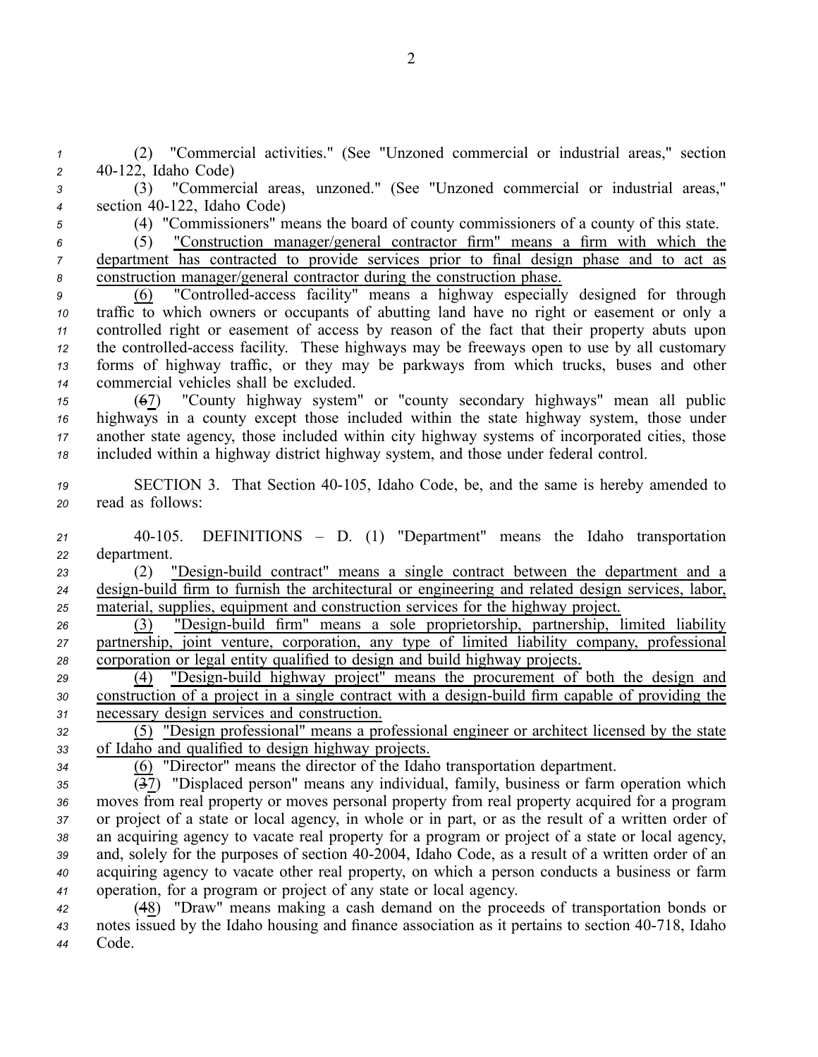*<sup>1</sup>* (2) "Commercial activities." (See "Unzoned commercial or industrial areas," section *<sup>2</sup>* 40122, Idaho Code)

*<sup>3</sup>* (3) "Commercial areas, unzoned." (See "Unzoned commercial or industrial areas," 4 section 40-122, Idaho Code)

*<sup>5</sup>* (4) "Commissioners" means the board of county commissioners of <sup>a</sup> county of this state.

*<sup>6</sup>* (5) "Construction manager/general contractor firm" means <sup>a</sup> firm with which the *<sup>7</sup>* department has contracted to provide services prior to final design phase and to act as *<sup>8</sup>* construction manager/general contractor during the construction phase.

 (6) "Controlledaccess facility" means <sup>a</sup> highway especially designed for through traffic to which owners or occupants of abutting land have no right or easement or only <sup>a</sup> controlled right or easement of access by reason of the fact that their property abuts upon the controlled-access facility. These highways may be freeways open to use by all customary forms of highway traffic, or they may be parkways from which trucks, buses and other commercial vehicles shall be excluded.

 (67) "County highway system" or "county secondary highways" mean all public highways in <sup>a</sup> county excep<sup>t</sup> those included within the state highway system, those under another state agency, those included within city highway systems of incorporated cities, those included within <sup>a</sup> highway district highway system, and those under federal control.

19 SECTION 3. That Section 40-105, Idaho Code, be, and the same is hereby amended to *<sup>20</sup>* read as follows:

*<sup>21</sup>* 40105. DEFINITIONS – D. (1) "Department" means the Idaho transportation *<sup>22</sup>* department.

23 (2) "Design-build contract" means a single contract between the department and a *24* design-build firm to furnish the architectural or engineering and related design services, labor, *<sup>25</sup>* material, supplies, equipment and construction services for the highway project.

<sup>26</sup> (3) "Design-build firm" means a sole proprietorship, partnership, limited liability *<sup>27</sup>* partnership, joint venture, corporation, any type of limited liability company, professional *<sup>28</sup>* corporation or legal entity qualified to design and build highway projects.

<sup>29</sup> <sup>(4)</sup> "Design-build highway project" means the procurement of both the design and 30 construction of a project in a single contract with a design-build firm capable of providing the *<sup>31</sup>* necessary design services and construction.

*<sup>32</sup>* (5) "Design professional" means <sup>a</sup> professional engineer or architect licensed by the state *<sup>33</sup>* of Idaho and qualified to design highway projects.

*<sup>34</sup>* (6) "Director" means the director of the Idaho transportation department.

 (37) "Displaced person" means any individual, family, business or farm operation which moves from real property or moves personal property from real property acquired for <sup>a</sup> program or project of <sup>a</sup> state or local agency, in whole or in part, or as the result of <sup>a</sup> written order of an acquiring agency to vacate real property for <sup>a</sup> program or project of <sup>a</sup> state or local agency, 39 and, solely for the purposes of section 40-2004, Idaho Code, as a result of a written order of an acquiring agency to vacate other real property, on which <sup>a</sup> person conducts <sup>a</sup> business or farm operation, for <sup>a</sup> program or project of any state or local agency.

*<sup>42</sup>* (48) "Draw" means making <sup>a</sup> cash demand on the proceeds of transportation bonds or *<sup>43</sup>* notes issued by the Idaho housing and finance association as it pertains to section 40718, Idaho *<sup>44</sup>* Code.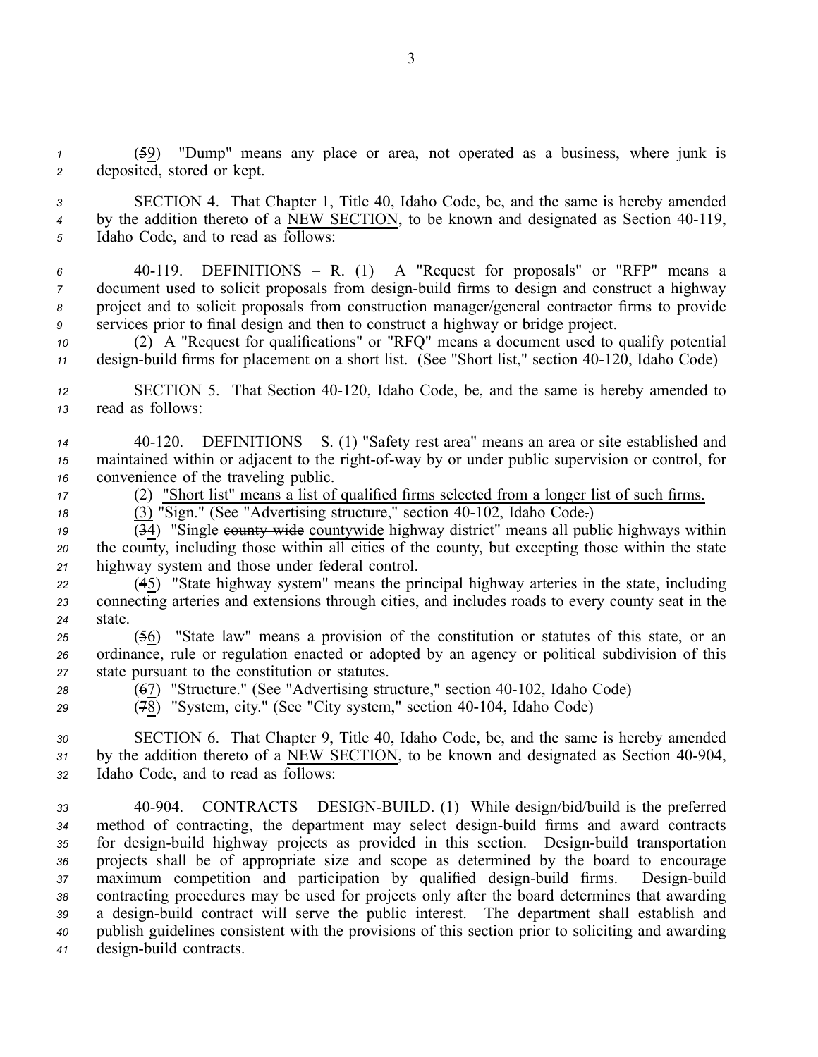*<sup>1</sup>* (59) "Dump" means any place or area, not operated as <sup>a</sup> business, where junk is *<sup>2</sup>* deposited, stored or kept.

*<sup>3</sup>* SECTION 4. That Chapter 1, Title 40, Idaho Code, be, and the same is hereby amended <sup>4</sup> by the addition thereto of a <u>NEW SECTION</u>, to be known and designated as Section 40-119, *<sup>5</sup>* Idaho Code, and to read as follows:

 40119. DEFINITIONS – R. (1) A "Request for proposals" or "RFP" means <sup>a</sup> document used to solicit proposals from design-build firms to design and construct a highway project and to solicit proposals from construction manager/general contractor firms to provide services prior to final design and then to construct <sup>a</sup> highway or bridge project.

*<sup>10</sup>* (2) A "Request for qualifications" or "RFQ" means <sup>a</sup> document used to qualify potential *11* design-build firms for placement on a short list. (See "Short list," section 40-120, Idaho Code)

*<sup>12</sup>* SECTION 5. That Section 40120, Idaho Code, be, and the same is hereby amended to *<sup>13</sup>* read as follows:

*<sup>14</sup>* 40120. DEFINITIONS – S. (1) "Safety rest area" means an area or site established and *15* maintained within or adjacent to the right-of-way by or under public supervision or control, for *<sup>16</sup>* convenience of the traveling public.

*<sup>17</sup>* (2) "Short list" means <sup>a</sup> list of qualified firms selected from <sup>a</sup> longer list of such firms.

*18* (3) "Sign." (See "Advertising structure," section 40-102, Idaho Code.)

 $\overline{(34)}$  "Single county wide countywide highway district" means all public highways within *<sup>20</sup>* the county, including those within all cities of the county, but excepting those within the state *<sup>21</sup>* highway system and those under federal control.

*<sup>22</sup>* (45) "State highway system" means the principal highway arteries in the state, including *<sup>23</sup>* connecting arteries and extensions through cities, and includes roads to every county seat in the *24* state.

*<sup>25</sup>* (56) "State law" means <sup>a</sup> provision of the constitution or statutes of this state, or an *<sup>26</sup>* ordinance, rule or regulation enacted or adopted by an agency or political subdivision of this *<sup>27</sup>* state pursuan<sup>t</sup> to the constitution or statutes.

<sup>28</sup> (67) "Structure." (See "Advertising structure," section 40-102, Idaho Code)

*29* (78) "System, city." (See "City system," section 40-104, Idaho Code)

*<sup>30</sup>* SECTION 6. That Chapter 9, Title 40, Idaho Code, be, and the same is hereby amended 31 by the addition thereto of a NEW SECTION, to be known and designated as Section 40-904, *<sup>32</sup>* Idaho Code, and to read as follows:

33 40-904. CONTRACTS – DESIGN-BUILD. (1) While design/bid/build is the preferred 34 method of contracting, the department may select design-build firms and award contracts 35 for design-build highway projects as provided in this section. Design-build transportation *<sup>36</sup>* projects shall be of appropriate size and scope as determined by the board to encourage 37 maximum competition and participation by qualified design-build firms. Design-build *<sup>38</sup>* contracting procedures may be used for projects only after the board determines that awarding 39 a design-build contract will serve the public interest. The department shall establish and *<sup>40</sup>* publish guidelines consistent with the provisions of this section prior to soliciting and awarding 41 design-build contracts.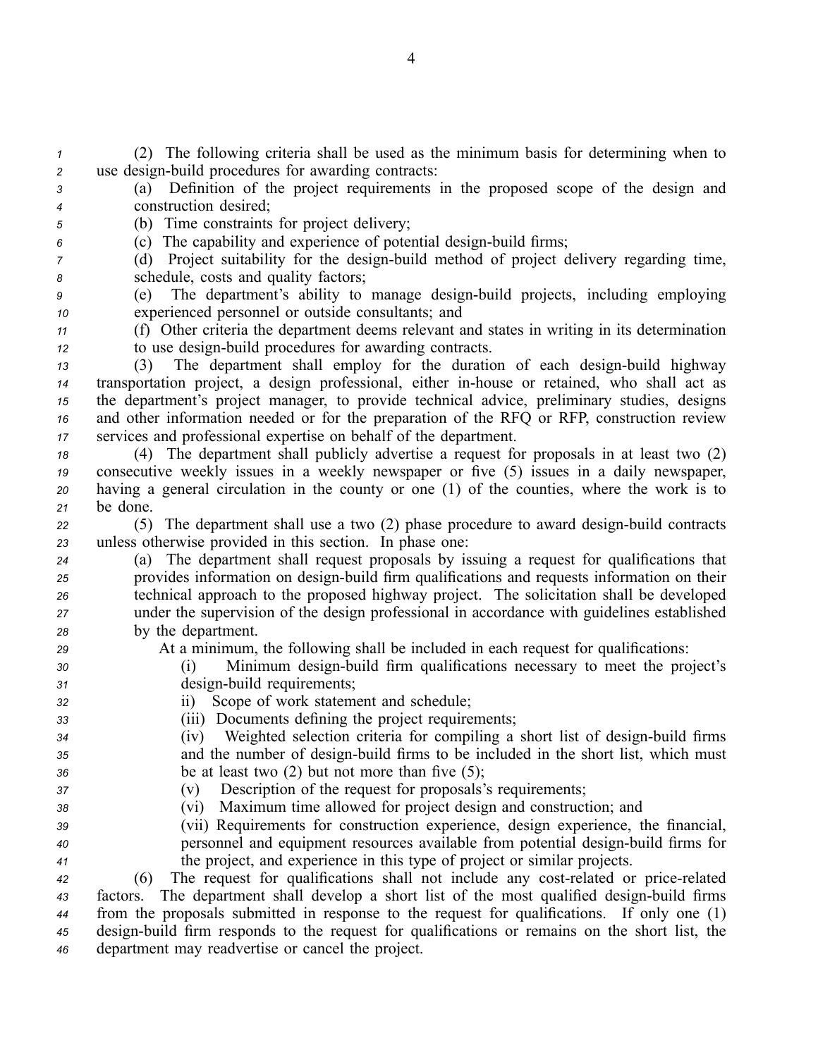*<sup>1</sup>* (2) The following criteria shall be used as the minimum basis for determining when to 2 use design-build procedures for awarding contracts:

*<sup>3</sup>* (a) Definition of the project requirements in the proposed scope of the design and *<sup>4</sup>* construction desired;

*<sup>5</sup>* (b) Time constraints for project delivery;

*6* (c) The capability and experience of potential design-build firms;

*7* (d) Project suitability for the design-build method of project delivery regarding time, *<sup>8</sup>* schedule, costs and quality factors;

*<sup>9</sup>* (e) The department's ability to manage designbuild projects, including employing *<sup>10</sup>* experienced personnel or outside consultants; and

*<sup>11</sup>* (f) Other criteria the department deems relevant and states in writing in its determination *12* to use design-build procedures for awarding contracts.

13 (3) The department shall employ for the duration of each design-build highway transportation project, <sup>a</sup> design professional, either inhouse or retained, who shall act as the department's project manager, to provide technical advice, preliminary studies, designs and other information needed or for the preparation of the RFQ or RFP, construction review services and professional expertise on behalf of the department.

 (4) The department shall publicly advertise <sup>a</sup> reques<sup>t</sup> for proposals in at least two (2) consecutive weekly issues in <sup>a</sup> weekly newspaper or five (5) issues in <sup>a</sup> daily newspaper, having <sup>a</sup> general circulation in the county or one (1) of the counties, where the work is to *<sup>21</sup>* be done.

<sup>22</sup> (5) The department shall use a two (2) phase procedure to award design-build contracts *<sup>23</sup>* unless otherwise provided in this section. In phase one:

- *<sup>24</sup>* (a) The department shall reques<sup>t</sup> proposals by issuing <sup>a</sup> reques<sup>t</sup> for qualifications that 25 provides information on design-build firm qualifications and requests information on their *<sup>26</sup>* technical approach to the proposed highway project. The solicitation shall be developed *<sup>27</sup>* under the supervision of the design professional in accordance with guidelines established *<sup>28</sup>* by the department.
- *<sup>29</sup>* At <sup>a</sup> minimum, the following shall be included in each reques<sup>t</sup> for qualifications:
- *30* (i) Minimum design-build firm qualifications necessary to meet the project's 31 design-build requirements;
- 

*<sup>32</sup>* ii) Scope of work statement and schedule;

*<sup>33</sup>* (iii) Documents defining the project requirements;

*34* (iv) Weighted selection criteria for compiling a short list of design-build firms *35* and the number of design-build firms to be included in the short list, which must *<sup>36</sup>* be at least two (2) but not more than five (5);

- *<sup>37</sup>* (v) Description of the reques<sup>t</sup> for proposals's requirements;
- *<sup>38</sup>* (vi) Maximum time allowed for project design and construction; and
- *<sup>39</sup>* (vii) Requirements for construction experience, design experience, the financial, *40* personnel and equipment resources available from potential design-build firms for *<sup>41</sup>* the project, and experience in this type of project or similar projects.

 (6) The reques<sup>t</sup> for qualifications shall not include any costrelated or pricerelated 43 factors. The department shall develop a short list of the most qualified design-build firms from the proposals submitted in response to the reques<sup>t</sup> for qualifications. If only one (1) design-build firm responds to the request for qualifications or remains on the short list, the department may readvertise or cancel the project.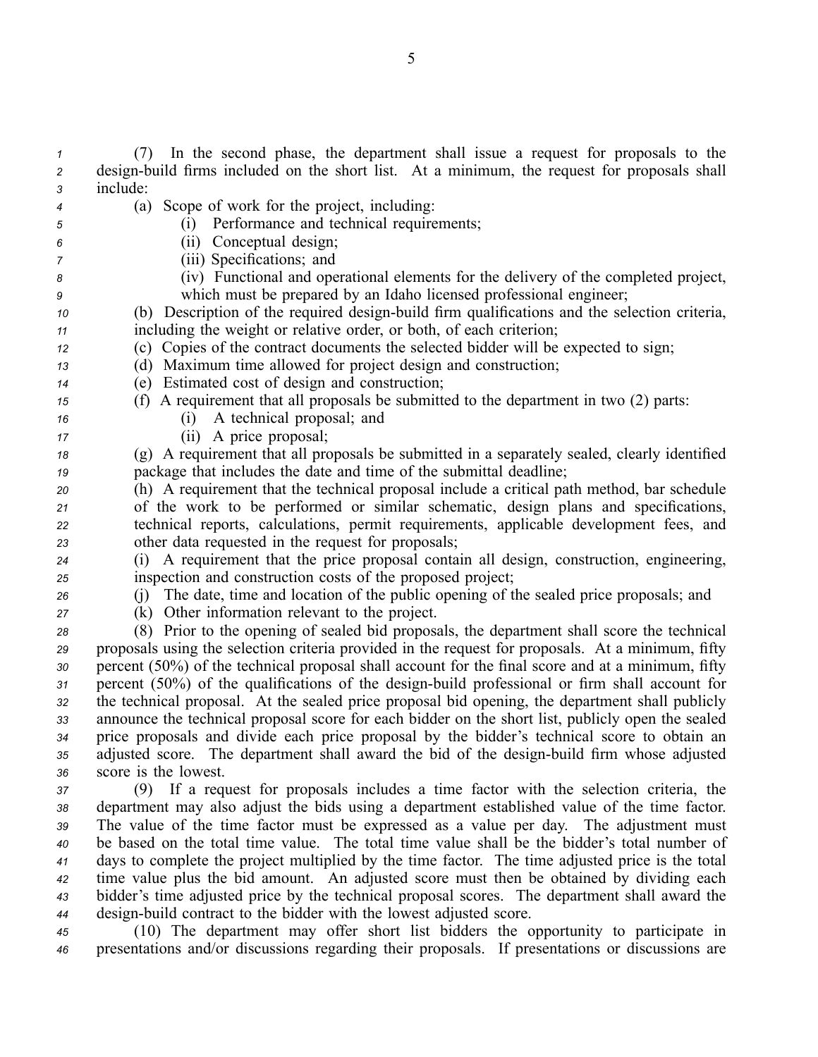(7) In the second phase, the department shall issue <sup>a</sup> reques<sup>t</sup> for proposals to the design-build firms included on the short list. At a minimum, the request for proposals shall *<sup>3</sup>* include: (a) Scope of work for the project, including: (i) Performance and technical requirements; (ii) Conceptual design; (iii) Specifications; and (iv) Functional and operational elements for the delivery of the completed project, which must be prepared by an Idaho licensed professional engineer; (b) Description of the required design-build firm qualifications and the selection criteria, including the weight or relative order, or both, of each criterion; (c) Copies of the contract documents the selected bidder will be expected to sign; (d) Maximum time allowed for project design and construction; (e) Estimated cost of design and construction; (f) A requirement that all proposals be submitted to the department in two (2) parts: (i) A technical proposal; and (ii) A price proposal; (g) A requirement that all proposals be submitted in <sup>a</sup> separately sealed, clearly identified package that includes the date and time of the submittal deadline; (h) A requirement that the technical proposal include <sup>a</sup> critical path method, bar schedule of the work to be performed or similar schematic, design plans and specifications, technical reports, calculations, permit requirements, applicable development fees, and other data requested in the reques<sup>t</sup> for proposals; (i) A requirement that the price proposal contain all design, construction, engineering, inspection and construction costs of the proposed project; (j) The date, time and location of the public opening of the sealed price proposals; and (k) Other information relevant to the project. (8) Prior to the opening of sealed bid proposals, the department shall score the technical proposals using the selection criteria provided in the reques<sup>t</sup> for proposals. At <sup>a</sup> minimum, fifty percen<sup>t</sup> (50%) of the technical proposal shall account for the final score and at <sup>a</sup> minimum, fifty 31 percent (50%) of the qualifications of the design-build professional or firm shall account for the technical proposal. At the sealed price proposal bid opening, the department shall publicly announce the technical proposal score for each bidder on the short list, publicly open the sealed price proposals and divide each price proposal by the bidder's technical score to obtain an 35 adjusted score. The department shall award the bid of the design-build firm whose adjusted score is the lowest. (9) If <sup>a</sup> reques<sup>t</sup> for proposals includes <sup>a</sup> time factor with the selection criteria, the department may also adjust the bids using <sup>a</sup> department established value of the time factor. The value of the time factor must be expressed as <sup>a</sup> value per day. The adjustment must be based on the total time value. The total time value shall be the bidder's total number of days to complete the project multiplied by the time factor. The time adjusted price is the total time value plus the bid amount. An adjusted score must then be obtained by dividing each bidder's time adjusted price by the technical proposal scores. The department shall award the design-build contract to the bidder with the lowest adjusted score.

*<sup>45</sup>* (10) The department may offer short list bidders the opportunity to participate in *<sup>46</sup>* presentations and/or discussions regarding their proposals. If presentations or discussions are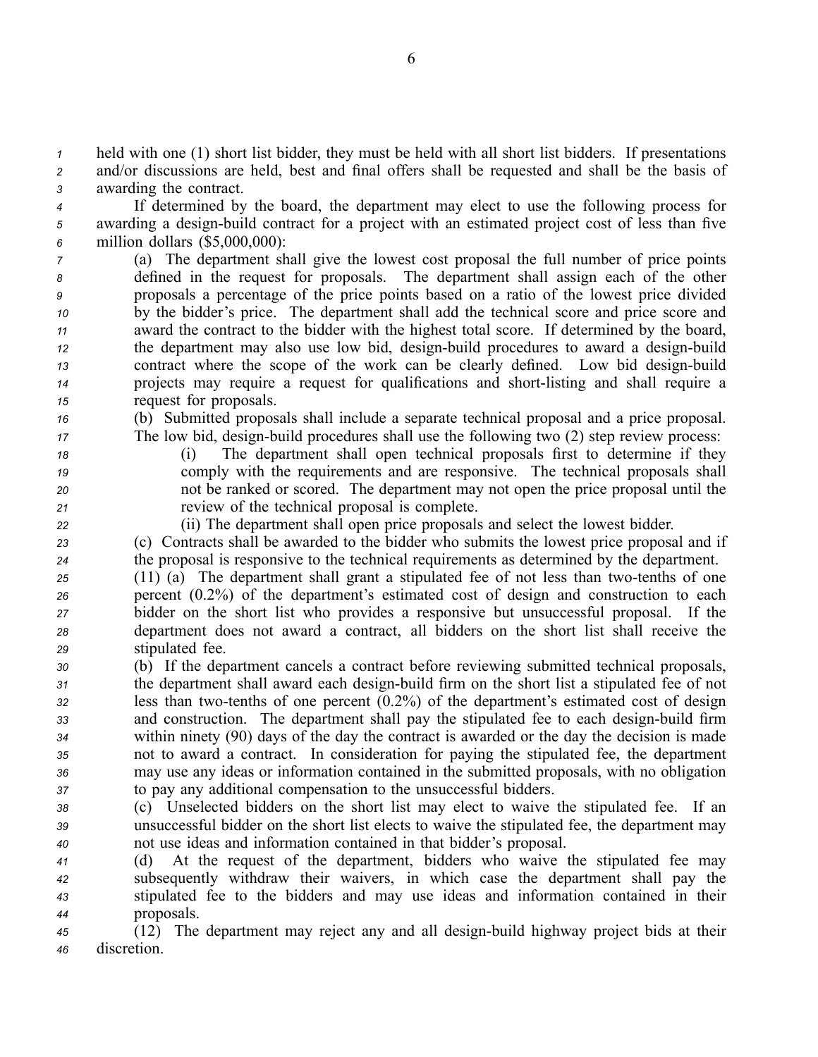*<sup>1</sup>* held with one (1) short list bidder, they must be held with all short list bidders. If presentations *<sup>2</sup>* and/or discussions are held, best and final offers shall be requested and shall be the basis of *<sup>3</sup>* awarding the contract.

*<sup>4</sup>* If determined by the board, the department may elect to use the following process for 5 awarding a design-build contract for a project with an estimated project cost of less than five *<sup>6</sup>* million dollars (\$5,000,000):

 (a) The department shall give the lowest cost proposal the full number of price points defined in the reques<sup>t</sup> for proposals. The department shall assign each of the other proposals <sup>a</sup> percentage of the price points based on <sup>a</sup> ratio of the lowest price divided by the bidder's price. The department shall add the technical score and price score and award the contract to the bidder with the highest total score. If determined by the board, the department may also use low bid, design-build procedures to award a design-build contract where the scope of the work can be clearly defined. Low bid design-build projects may require a request for qualifications and short-listing and shall require a reques<sup>t</sup> for proposals.

*<sup>16</sup>* (b) Submitted proposals shall include <sup>a</sup> separate technical proposal and <sup>a</sup> price proposal.

- 
- 

*17* The low bid, design-build procedures shall use the following two (2) step review process: *<sup>18</sup>* (i) The department shall open technical proposals first to determine if they

*<sup>19</sup>* comply with the requirements and are responsive. The technical proposals shall *<sup>20</sup>* not be ranked or scored. The department may not open the price proposal until the

*<sup>21</sup>* review of the technical proposal is complete. *<sup>22</sup>* (ii) The department shall open price proposals and select the lowest bidder.

*<sup>23</sup>* (c) Contracts shall be awarded to the bidder who submits the lowest price proposal and if *<sup>24</sup>* the proposal is responsive to the technical requirements as determined by the department.

 (11) (a) The department shall grant a stipulated fee of not less than two-tenths of one percen<sup>t</sup> (0.2%) of the department's estimated cost of design and construction to each bidder on the short list who provides <sup>a</sup> responsive but unsuccessful proposal. If the department does not award <sup>a</sup> contract, all bidders on the short list shall receive the stipulated fee.

- *<sup>30</sup>* (b) If the department cancels <sup>a</sup> contract before reviewing submitted technical proposals, *31* the department shall award each design-build firm on the short list a stipulated fee of not *32* less than two-tenths of one percent  $(0.2\%)$  of the department's estimated cost of design 33 and construction. The department shall pay the stipulated fee to each design-build firm *<sup>34</sup>* within ninety (90) days of the day the contract is awarded or the day the decision is made *<sup>35</sup>* not to award <sup>a</sup> contract. In consideration for paying the stipulated fee, the department *<sup>36</sup>* may use any ideas or information contained in the submitted proposals, with no obligation *<sup>37</sup>* to pay any additional compensation to the unsuccessful bidders.
- *<sup>38</sup>* (c) Unselected bidders on the short list may elect to waive the stipulated fee. If an *<sup>39</sup>* unsuccessful bidder on the short list elects to waive the stipulated fee, the department may *<sup>40</sup>* not use ideas and information contained in that bidder's proposal.
- *<sup>41</sup>* (d) At the reques<sup>t</sup> of the department, bidders who waive the stipulated fee may *<sup>42</sup>* subsequently withdraw their waivers, in which case the department shall pay the *<sup>43</sup>* stipulated fee to the bidders and may use ideas and information contained in their *<sup>44</sup>* proposals.

*45* (12) The department may reject any and all design-build highway project bids at their *<sup>46</sup>* discretion.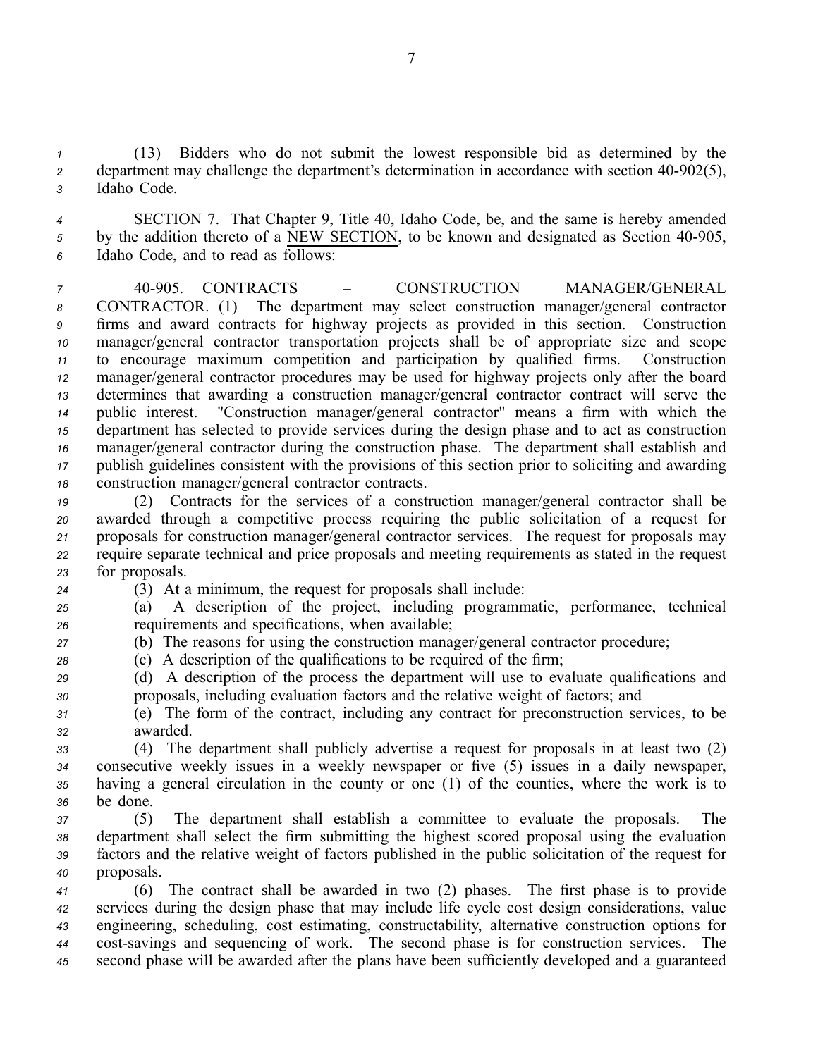*<sup>1</sup>* (13) Bidders who do not submit the lowest responsible bid as determined by the *2* department may challenge the department's determination in accordance with section  $40-902(5)$ , *<sup>3</sup>* Idaho Code.

*<sup>4</sup>* SECTION 7. That Chapter 9, Title 40, Idaho Code, be, and the same is hereby amended 5 by the addition thereto of a NEW SECTION, to be known and designated as Section 40-905, *<sup>6</sup>* Idaho Code, and to read as follows:

 40905. CONTRACTS – CONSTRUCTION MANAGER/GENERAL CONTRACTOR. (1) The department may select construction manager/general contractor firms and award contracts for highway projects as provided in this section. Construction manager/general contractor transportation projects shall be of appropriate size and scope to encourage maximum competition and participation by qualified firms. Construction manager/general contractor procedures may be used for highway projects only after the board determines that awarding <sup>a</sup> construction manager/general contractor contract will serve the public interest. "Construction manager/general contractor" means <sup>a</sup> firm with which the department has selected to provide services during the design phase and to act as construction manager/general contractor during the construction phase. The department shall establish and publish guidelines consistent with the provisions of this section prior to soliciting and awarding construction manager/general contractor contracts.

 (2) Contracts for the services of <sup>a</sup> construction manager/general contractor shall be awarded through <sup>a</sup> competitive process requiring the public solicitation of <sup>a</sup> reques<sup>t</sup> for proposals for construction manager/general contractor services. The reques<sup>t</sup> for proposals may require separate technical and price proposals and meeting requirements as stated in the reques<sup>t</sup> for proposals.

*<sup>24</sup>* (3) At <sup>a</sup> minimum, the reques<sup>t</sup> for proposals shall include:

*<sup>25</sup>* (a) A description of the project, including programmatic, performance, technical *<sup>26</sup>* requirements and specifications, when available;

*<sup>27</sup>* (b) The reasons for using the construction manager/general contractor procedure;

*<sup>28</sup>* (c) A description of the qualifications to be required of the firm;

*<sup>29</sup>* (d) A description of the process the department will use to evaluate qualifications and *<sup>30</sup>* proposals, including evaluation factors and the relative weight of factors; and

*<sup>31</sup>* (e) The form of the contract, including any contract for preconstruction services, to be *<sup>32</sup>* awarded.

 (4) The department shall publicly advertise <sup>a</sup> reques<sup>t</sup> for proposals in at least two (2) consecutive weekly issues in <sup>a</sup> weekly newspaper or five (5) issues in <sup>a</sup> daily newspaper, having <sup>a</sup> general circulation in the county or one (1) of the counties, where the work is to *<sup>36</sup>* be done.

 (5) The department shall establish <sup>a</sup> committee to evaluate the proposals. The department shall select the firm submitting the highest scored proposal using the evaluation factors and the relative weight of factors published in the public solicitation of the reques<sup>t</sup> for proposals.

 (6) The contract shall be awarded in two (2) phases. The first phase is to provide services during the design phase that may include life cycle cost design considerations, value engineering, scheduling, cost estimating, constructability, alternative construction options for 44 cost-savings and sequencing of work. The second phase is for construction services. The second phase will be awarded after the plans have been sufficiently developed and <sup>a</sup> guaranteed